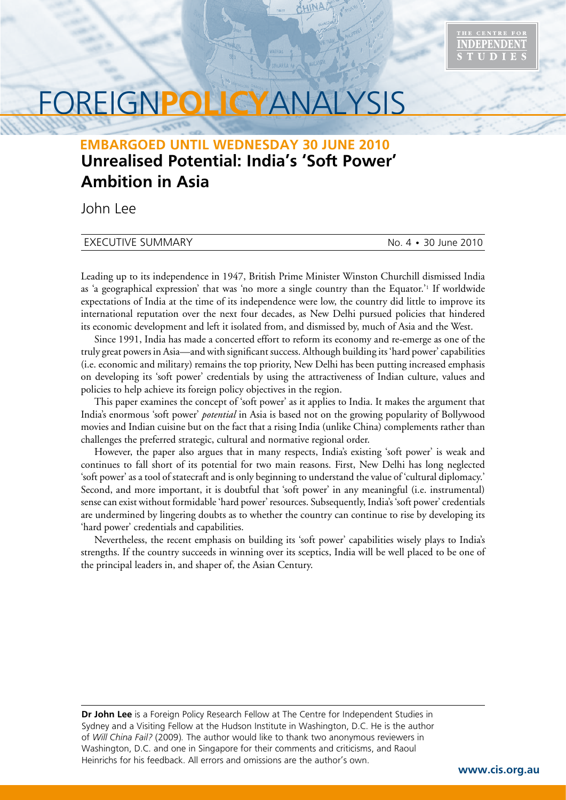

# FOREIGN**POLICY**ANALYSIS

## **Unrealised Potential: India's 'Soft Power' Ambition in Asia EMBARGOED UNTIL WEDNESDAY 30 JUNE 2010**

John Lee

#### EXECUTIVE SUMMARY No. 4 • 30 June 2010

Leading up to its independence in 1947, British Prime Minister Winston Churchill dismissed India as 'a geographical expression' that was 'no more a single country than the Equator.'1 If worldwide expectations of India at the time of its independence were low, the country did little to improve its international reputation over the next four decades, as New Delhi pursued policies that hindered its economic development and left it isolated from, and dismissed by, much of Asia and the West.

Since 1991, India has made a concerted effort to reform its economy and re-emerge as one of the truly great powers in Asia—and with significant success. Although building its 'hard power' capabilities (i.e. economic and military) remains the top priority, New Delhi has been putting increased emphasis on developing its 'soft power' credentials by using the attractiveness of Indian culture, values and policies to help achieve its foreign policy objectives in the region.

This paper examines the concept of 'soft power' as it applies to India. It makes the argument that India's enormous 'soft power' *potential* in Asia is based not on the growing popularity of Bollywood movies and Indian cuisine but on the fact that a rising India (unlike China) complements rather than challenges the preferred strategic, cultural and normative regional order.

However, the paper also argues that in many respects, India's existing 'soft power' is weak and continues to fall short of its potential for two main reasons. First, New Delhi has long neglected 'soft power' as a tool of statecraft and is only beginning to understand the value of 'cultural diplomacy.' Second, and more important, it is doubtful that 'soft power' in any meaningful (i.e. instrumental) sense can exist without formidable 'hard power' resources. Subsequently, India's 'soft power' credentials are undermined by lingering doubts as to whether the country can continue to rise by developing its 'hard power' credentials and capabilities.

Nevertheless, the recent emphasis on building its 'soft power' capabilities wisely plays to India's strengths. If the country succeeds in winning over its sceptics, India will be well placed to be one of the principal leaders in, and shaper of, the Asian Century.

**Dr John Lee** is a Foreign Policy Research Fellow at The Centre for Independent Studies in Sydney and a Visiting Fellow at the Hudson Institute in Washington, D.C. He is the author of *Will China Fail?* (2009)*.* The author would like to thank two anonymous reviewers in Washington, D.C. and one in Singapore for their comments and criticisms, and Raoul Heinrichs for his feedback. All errors and omissions are the author's own.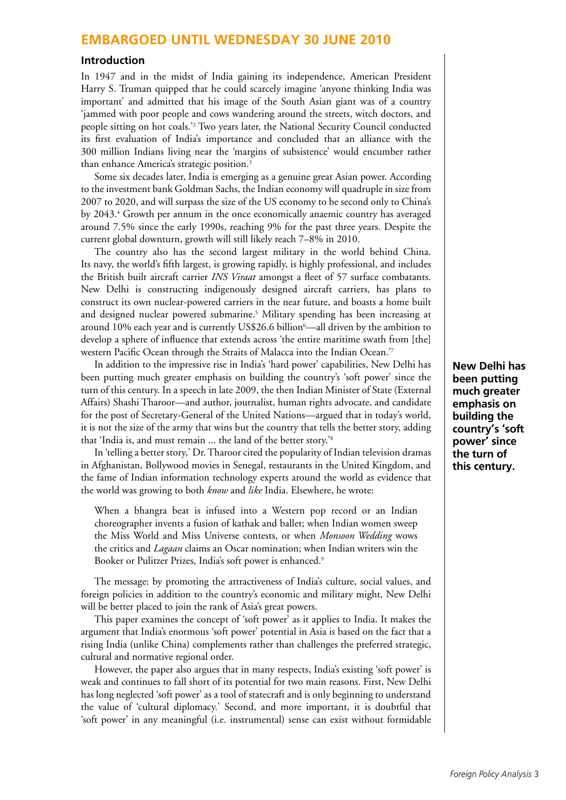#### **Introduction**

In 1947 and in the midst of India gaining its independence, American President Harry S. Truman quipped that he could scarcely imagine 'anyone thinking India was important' and admitted that his image of the South Asian giant was of a country 'jammed with poor people and cows wandering around the streets, witch doctors, and people sitting on hot coals.'2 Two years later, the National Security Council conducted its first evaluation of India's importance and concluded that an alliance with the 300 million Indians living near the 'margins of subsistence' would encumber rather than enhance America's strategic position.<sup>3</sup>

Some six decades later, India is emerging as a genuine great Asian power. According to the investment bank Goldman Sachs, the Indian economy will quadruple in size from 2007 to 2020, and will surpass the size of the US economy to be second only to China's by 2043.<sup>4</sup> Growth per annum in the once economically anaemic country has averaged around 7.5% since the early 1990s, reaching 9% for the past three years. Despite the current global downturn, growth will still likely reach 7–8% in 2010.

The country also has the second largest military in the world behind China. Its navy, the world's fifth largest, is growing rapidly, is highly professional, and includes the British built aircraft carrier *INS Viraat* amongst a fleet of 57 surface combatants. New Delhi is constructing indigenously designed aircraft carriers, has plans to construct its own nuclear-powered carriers in the near future, and boasts a home built and designed nuclear powered submarine.5 Military spending has been increasing at around 10% each year and is currently US\$26.6 billion<sup>6</sup>—all driven by the ambition to develop a sphere of influence that extends across 'the entire maritime swath from [the] western Pacific Ocean through the Straits of Malacca into the Indian Ocean.'7

In addition to the impressive rise in India's 'hard power' capabilities, New Delhi has been putting much greater emphasis on building the country's 'soft power' since the turn of this century. In a speech in late 2009, the then Indian Minister of State (External Affairs) Shashi Tharoor—and author, journalist, human rights advocate, and candidate for the post of Secretary-General of the United Nations—argued that in today's world, it is not the size of the army that wins but the country that tells the better story, adding that 'India is, and must remain ... the land of the better story.'8

In 'telling a better story,' Dr. Tharoor cited the popularity of Indian television dramas in Afghanistan, Bollywood movies in Senegal, restaurants in the United Kingdom, and the fame of Indian information technology experts around the world as evidence that the world was growing to both *know* and *like* India. Elsewhere, he wrote:

When a bhangra beat is infused into a Western pop record or an Indian choreographer invents a fusion of kathak and ballet; when Indian women sweep the Miss World and Miss Universe contests, or when *Monsoon Wedding* wows the critics and *Lagaan* claims an Oscar nomination; when Indian writers win the Booker or Pulitzer Prizes, India's soft power is enhanced.<sup>9</sup>

The message: by promoting the attractiveness of India's culture, social values, and foreign policies in addition to the country's economic and military might, New Delhi will be better placed to join the rank of Asia's great powers.

This paper examines the concept of 'soft power' as it applies to India. It makes the argument that India's enormous 'soft power' potential in Asia is based on the fact that a rising India (unlike China) complements rather than challenges the preferred strategic, cultural and normative regional order.

However, the paper also argues that in many respects, India's existing 'soft power' is weak and continues to fall short of its potential for two main reasons. First, New Delhi has long neglected 'soft power' as a tool of statecraft and is only beginning to understand the value of 'cultural diplomacy.' Second, and more important, it is doubtful that 'soft power' in any meaningful (i.e. instrumental) sense can exist without formidable **New Delhi has been putting much greater emphasis on building the country's 'soft power' since the turn of this century.**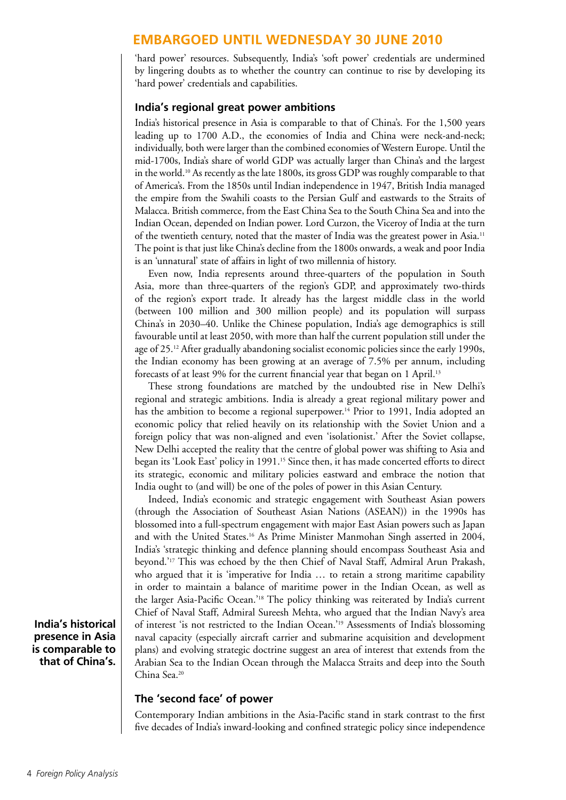'hard power' resources. Subsequently, India's 'soft power' credentials are undermined by lingering doubts as to whether the country can continue to rise by developing its 'hard power' credentials and capabilities.

#### **India's regional great power ambitions**

India's historical presence in Asia is comparable to that of China's. For the 1,500 years leading up to 1700 A.D., the economies of India and China were neck-and-neck; individually, both were larger than the combined economies of Western Europe. Until the mid-1700s, India's share of world GDP was actually larger than China's and the largest in the world.10 As recently as the late 1800s, its gross GDP was roughly comparable to that of America's. From the 1850s until Indian independence in 1947, British India managed the empire from the Swahili coasts to the Persian Gulf and eastwards to the Straits of Malacca. British commerce, from the East China Sea to the South China Sea and into the Indian Ocean, depended on Indian power. Lord Curzon, the Viceroy of India at the turn of the twentieth century, noted that the master of India was the greatest power in Asia.11 The point is that just like China's decline from the 1800s onwards, a weak and poor India is an 'unnatural' state of affairs in light of two millennia of history.

Even now, India represents around three-quarters of the population in South Asia, more than three-quarters of the region's GDP, and approximately two-thirds of the region's export trade. It already has the largest middle class in the world (between 100 million and 300 million people) and its population will surpass China's in 2030–40. Unlike the Chinese population, India's age demographics is still favourable until at least 2050, with more than half the current population still under the age of 25.12 After gradually abandoning socialist economic policies since the early 1990s, the Indian economy has been growing at an average of 7.5% per annum, including forecasts of at least 9% for the current financial year that began on 1 April.<sup>13</sup>

These strong foundations are matched by the undoubted rise in New Delhi's regional and strategic ambitions. India is already a great regional military power and has the ambition to become a regional superpower.<sup>14</sup> Prior to 1991, India adopted an economic policy that relied heavily on its relationship with the Soviet Union and a foreign policy that was non-aligned and even 'isolationist.' After the Soviet collapse, New Delhi accepted the reality that the centre of global power was shifting to Asia and began its 'Look East' policy in 1991.<sup>15</sup> Since then, it has made concerted efforts to direct its strategic, economic and military policies eastward and embrace the notion that India ought to (and will) be one of the poles of power in this Asian Century.

Indeed, India's economic and strategic engagement with Southeast Asian powers (through the Association of Southeast Asian Nations (ASEAN)) in the 1990s has blossomed into a full-spectrum engagement with major East Asian powers such as Japan and with the United States.16 As Prime Minister Manmohan Singh asserted in 2004, India's 'strategic thinking and defence planning should encompass Southeast Asia and beyond.'17 This was echoed by the then Chief of Naval Staff, Admiral Arun Prakash, who argued that it is 'imperative for India ... to retain a strong maritime capability in order to maintain a balance of maritime power in the Indian Ocean, as well as the larger Asia-Pacific Ocean.'18 The policy thinking was reiterated by India's current Chief of Naval Staff, Admiral Sureesh Mehta, who argued that the Indian Navy's area of interest 'is not restricted to the Indian Ocean.'19 Assessments of India's blossoming naval capacity (especially aircraft carrier and submarine acquisition and development plans) and evolving strategic doctrine suggest an area of interest that extends from the Arabian Sea to the Indian Ocean through the Malacca Straits and deep into the South China Sea.20

### **The 'second face' of power**

Contemporary Indian ambitions in the Asia-Pacific stand in stark contrast to the first five decades of India's inward-looking and confined strategic policy since independence

**India's historical presence in Asia is comparable to that of China's.**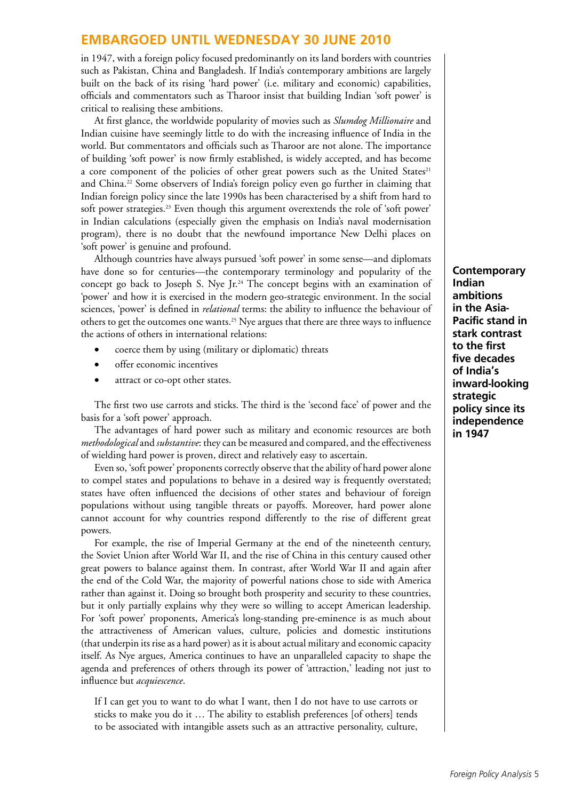in 1947, with a foreign policy focused predominantly on its land borders with countries such as Pakistan, China and Bangladesh. If India's contemporary ambitions are largely built on the back of its rising 'hard power' (i.e. military and economic) capabilities, officials and commentators such as Tharoor insist that building Indian 'soft power' is critical to realising these ambitions.

At first glance, the worldwide popularity of movies such as *Slumdog Millionaire* and Indian cuisine have seemingly little to do with the increasing influence of India in the world. But commentators and officials such as Tharoor are not alone. The importance of building 'soft power' is now firmly established, is widely accepted, and has become a core component of the policies of other great powers such as the United States<sup>21</sup> and China.22 Some observers of India's foreign policy even go further in claiming that Indian foreign policy since the late 1990s has been characterised by a shift from hard to soft power strategies.23 Even though this argument overextends the role of 'soft power' in Indian calculations (especially given the emphasis on India's naval modernisation program), there is no doubt that the newfound importance New Delhi places on 'soft power' is genuine and profound.

Although countries have always pursued 'soft power' in some sense—and diplomats have done so for centuries—the contemporary terminology and popularity of the concept go back to Joseph S. Nye Jr.<sup>24</sup> The concept begins with an examination of 'power' and how it is exercised in the modern geo-strategic environment. In the social sciences, 'power' is defined in *relational* terms: the ability to influence the behaviour of others to get the outcomes one wants.<sup>25</sup> Nye argues that there are three ways to influence the actions of others in international relations:

- coerce them by using (military or diplomatic) threats
- • offer economic incentives
- attract or co-opt other states.

The first two use carrots and sticks. The third is the 'second face' of power and the basis for a 'soft power' approach.

The advantages of hard power such as military and economic resources are both *methodological* and *substantive*: they can be measured and compared, and the effectiveness of wielding hard power is proven, direct and relatively easy to ascertain.

Even so, 'soft power' proponents correctly observe that the ability of hard power alone to compel states and populations to behave in a desired way is frequently overstated; states have often influenced the decisions of other states and behaviour of foreign populations without using tangible threats or payoffs. Moreover, hard power alone cannot account for why countries respond differently to the rise of different great powers.

For example, the rise of Imperial Germany at the end of the nineteenth century, the Soviet Union after World War II, and the rise of China in this century caused other great powers to balance against them. In contrast, after World War II and again after the end of the Cold War, the majority of powerful nations chose to side with America rather than against it. Doing so brought both prosperity and security to these countries, but it only partially explains why they were so willing to accept American leadership. For 'soft power' proponents, America's long-standing pre-eminence is as much about the attractiveness of American values, culture, policies and domestic institutions (that underpin its rise as a hard power) as it is about actual military and economic capacity itself. As Nye argues, America continues to have an unparalleled capacity to shape the agenda and preferences of others through its power of 'attraction,' leading not just to influence but *acquiescence*.

If I can get you to want to do what I want, then I do not have to use carrots or sticks to make you do it … The ability to establish preferences [of others] tends to be associated with intangible assets such as an attractive personality, culture,

**Contemporary Indian ambitions in the Asia-Pacific stand in stark contrast to the first five decades of India's inward-looking strategic policy since its independence in 1947**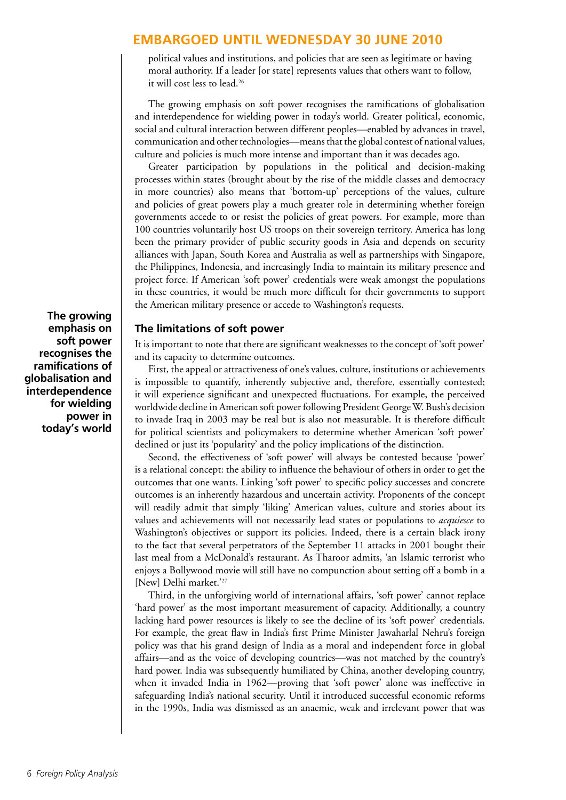political values and institutions, and policies that are seen as legitimate or having moral authority. If a leader [or state] represents values that others want to follow, it will cost less to lead.<sup>26</sup>

The growing emphasis on soft power recognises the ramifications of globalisation and interdependence for wielding power in today's world. Greater political, economic, social and cultural interaction between different peoples—enabled by advances in travel, communication and other technologies—means that the global contest of national values, culture and policies is much more intense and important than it was decades ago.

Greater participation by populations in the political and decision-making processes within states (brought about by the rise of the middle classes and democracy in more countries) also means that 'bottom-up' perceptions of the values, culture and policies of great powers play a much greater role in determining whether foreign governments accede to or resist the policies of great powers. For example, more than 100 countries voluntarily host US troops on their sovereign territory. America has long been the primary provider of public security goods in Asia and depends on security alliances with Japan, South Korea and Australia as well as partnerships with Singapore, the Philippines, Indonesia, and increasingly India to maintain its military presence and project force. If American 'soft power' credentials were weak amongst the populations in these countries, it would be much more difficult for their governments to support the American military presence or accede to Washington's requests.

#### **The limitations of soft power**

It is important to note that there are significant weaknesses to the concept of 'soft power' and its capacity to determine outcomes.

First, the appeal or attractiveness of one's values, culture, institutions or achievements is impossible to quantify, inherently subjective and, therefore, essentially contested; it will experience significant and unexpected fluctuations. For example, the perceived worldwide decline in American soft power following President George W. Bush's decision to invade Iraq in 2003 may be real but is also not measurable. It is therefore difficult for political scientists and policymakers to determine whether American 'soft power' declined or just its 'popularity' and the policy implications of the distinction.

Second, the effectiveness of 'soft power' will always be contested because 'power' is a relational concept: the ability to influence the behaviour of others in order to get the outcomes that one wants. Linking 'soft power' to specific policy successes and concrete outcomes is an inherently hazardous and uncertain activity. Proponents of the concept will readily admit that simply 'liking' American values, culture and stories about its values and achievements will not necessarily lead states or populations to *acquiesce* to Washington's objectives or support its policies. Indeed, there is a certain black irony to the fact that several perpetrators of the September 11 attacks in 2001 bought their last meal from a McDonald's restaurant. As Tharoor admits, 'an Islamic terrorist who enjoys a Bollywood movie will still have no compunction about setting off a bomb in a [New] Delhi market.'<sup>27</sup>

Third, in the unforgiving world of international affairs, 'soft power' cannot replace 'hard power' as the most important measurement of capacity. Additionally, a country lacking hard power resources is likely to see the decline of its 'soft power' credentials. For example, the great flaw in India's first Prime Minister Jawaharlal Nehru's foreign policy was that his grand design of India as a moral and independent force in global affairs—and as the voice of developing countries—was not matched by the country's hard power. India was subsequently humiliated by China, another developing country, when it invaded India in 1962—proving that 'soft power' alone was ineffective in safeguarding India's national security. Until it introduced successful economic reforms in the 1990s, India was dismissed as an anaemic, weak and irrelevant power that was

**The growing emphasis on soft power recognises the ramifications of globalisation and interdependence for wielding power in today's world**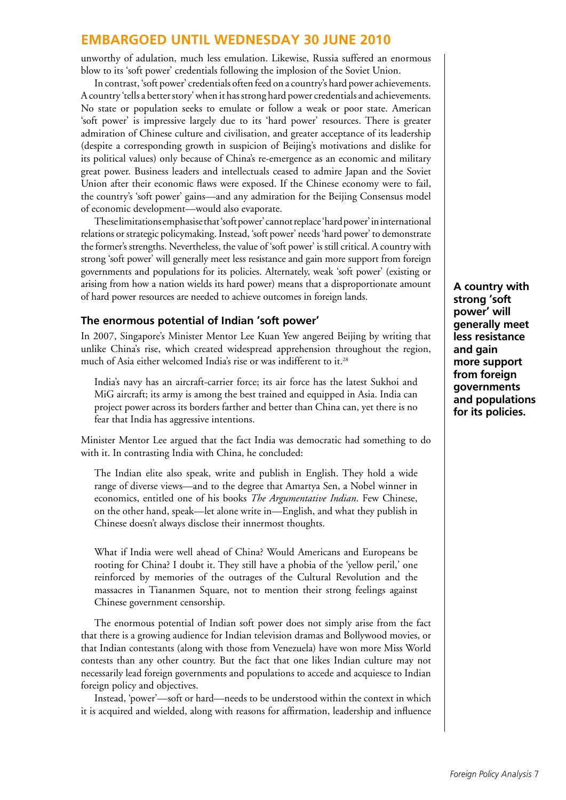unworthy of adulation, much less emulation. Likewise, Russia suffered an enormous blow to its 'soft power' credentials following the implosion of the Soviet Union.

In contrast, 'soft power' credentials often feed on a country's hard power achievements. A country 'tells a better story' when it has strong hard power credentials and achievements. No state or population seeks to emulate or follow a weak or poor state. American 'soft power' is impressive largely due to its 'hard power' resources. There is greater admiration of Chinese culture and civilisation, and greater acceptance of its leadership (despite a corresponding growth in suspicion of Beijing's motivations and dislike for its political values) only because of China's re-emergence as an economic and military great power. Business leaders and intellectuals ceased to admire Japan and the Soviet Union after their economic flaws were exposed. If the Chinese economy were to fail, the country's 'soft power' gains—and any admiration for the Beijing Consensus model of economic development—would also evaporate.

These limitations emphasise that 'soft power' cannot replace 'hard power' in international relations or strategic policymaking. Instead, 'soft power' needs 'hard power' to demonstrate the former's strengths. Nevertheless, the value of 'soft power' is still critical. A country with strong 'soft power' will generally meet less resistance and gain more support from foreign governments and populations for its policies. Alternately, weak 'soft power' (existing or arising from how a nation wields its hard power) means that a disproportionate amount of hard power resources are needed to achieve outcomes in foreign lands.

#### **The enormous potential of Indian 'soft power'**

In 2007, Singapore's Minister Mentor Lee Kuan Yew angered Beijing by writing that unlike China's rise, which created widespread apprehension throughout the region, much of Asia either welcomed India's rise or was indifferent to it.<sup>28</sup>

India's navy has an aircraft-carrier force; its air force has the latest Sukhoi and MiG aircraft; its army is among the best trained and equipped in Asia. India can project power across its borders farther and better than China can, yet there is no fear that India has aggressive intentions.

Minister Mentor Lee argued that the fact India was democratic had something to do with it. In contrasting India with China, he concluded:

The Indian elite also speak, write and publish in English. They hold a wide range of diverse views—and to the degree that Amartya Sen, a Nobel winner in economics, entitled one of his books *The Argumentative Indian*. Few Chinese, on the other hand, speak—let alone write in—English, and what they publish in Chinese doesn't always disclose their innermost thoughts.

What if India were well ahead of China? Would Americans and Europeans be rooting for China? I doubt it. They still have a phobia of the 'yellow peril,' one reinforced by memories of the outrages of the Cultural Revolution and the massacres in Tiananmen Square, not to mention their strong feelings against Chinese government censorship.

The enormous potential of Indian soft power does not simply arise from the fact that there is a growing audience for Indian television dramas and Bollywood movies, or that Indian contestants (along with those from Venezuela) have won more Miss World contests than any other country. But the fact that one likes Indian culture may not necessarily lead foreign governments and populations to accede and acquiesce to Indian foreign policy and objectives.

Instead, 'power'—soft or hard—needs to be understood within the context in which it is acquired and wielded, along with reasons for affirmation, leadership and influence

**A country with strong 'soft power' will generally meet less resistance and gain more support from foreign governments and populations for its policies.**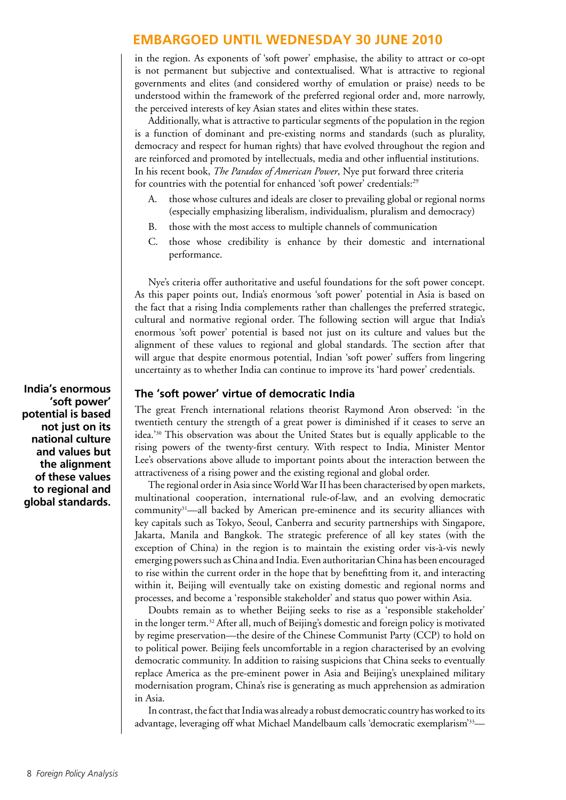in the region. As exponents of 'soft power' emphasise, the ability to attract or co-opt is not permanent but subjective and contextualised. What is attractive to regional governments and elites (and considered worthy of emulation or praise) needs to be understood within the framework of the preferred regional order and, more narrowly, the perceived interests of key Asian states and elites within these states.

Additionally, what is attractive to particular segments of the population in the region is a function of dominant and pre-existing norms and standards (such as plurality, democracy and respect for human rights) that have evolved throughout the region and are reinforced and promoted by intellectuals, media and other influential institutions. In his recent book, *The Paradox of American Power*, Nye put forward three criteria for countries with the potential for enhanced 'soft power' credentials:<sup>29</sup>

- A. those whose cultures and ideals are closer to prevailing global or regional norms (especially emphasizing liberalism, individualism, pluralism and democracy)
- B. those with the most access to multiple channels of communication
- C. those whose credibility is enhance by their domestic and international performance.

Nye's criteria offer authoritative and useful foundations for the soft power concept. As this paper points out, India's enormous 'soft power' potential in Asia is based on the fact that a rising India complements rather than challenges the preferred strategic, cultural and normative regional order. The following section will argue that India's enormous 'soft power' potential is based not just on its culture and values but the alignment of these values to regional and global standards. The section after that will argue that despite enormous potential, Indian 'soft power' suffers from lingering uncertainty as to whether India can continue to improve its 'hard power' credentials.

#### **The 'soft power' virtue of democratic India**

The great French international relations theorist Raymond Aron observed: 'in the twentieth century the strength of a great power is diminished if it ceases to serve an idea.'30 This observation was about the United States but is equally applicable to the rising powers of the twenty-first century. With respect to India, Minister Mentor Lee's observations above allude to important points about the interaction between the attractiveness of a rising power and the existing regional and global order.

The regional order in Asia since World War II has been characterised by open markets, multinational cooperation, international rule-of-law, and an evolving democratic community31—all backed by American pre-eminence and its security alliances with key capitals such as Tokyo, Seoul, Canberra and security partnerships with Singapore, Jakarta, Manila and Bangkok. The strategic preference of all key states (with the exception of China) in the region is to maintain the existing order vis-à-vis newly emerging powers such as China and India. Even authoritarian China has been encouraged to rise within the current order in the hope that by benefitting from it, and interacting within it, Beijing will eventually take on existing domestic and regional norms and processes, and become a 'responsible stakeholder' and status quo power within Asia.

Doubts remain as to whether Beijing seeks to rise as a 'responsible stakeholder' in the longer term.32 After all, much of Beijing's domestic and foreign policy is motivated by regime preservation—the desire of the Chinese Communist Party (CCP) to hold on to political power. Beijing feels uncomfortable in a region characterised by an evolving democratic community. In addition to raising suspicions that China seeks to eventually replace America as the pre-eminent power in Asia and Beijing's unexplained military modernisation program, China's rise is generating as much apprehension as admiration in Asia.

In contrast, the fact that India was already a robust democratic country has worked to its advantage, leveraging off what Michael Mandelbaum calls 'democratic exemplarism'33—

**India's enormous 'soft power' potential is based not just on its national culture and values but the alignment of these values to regional and global standards.**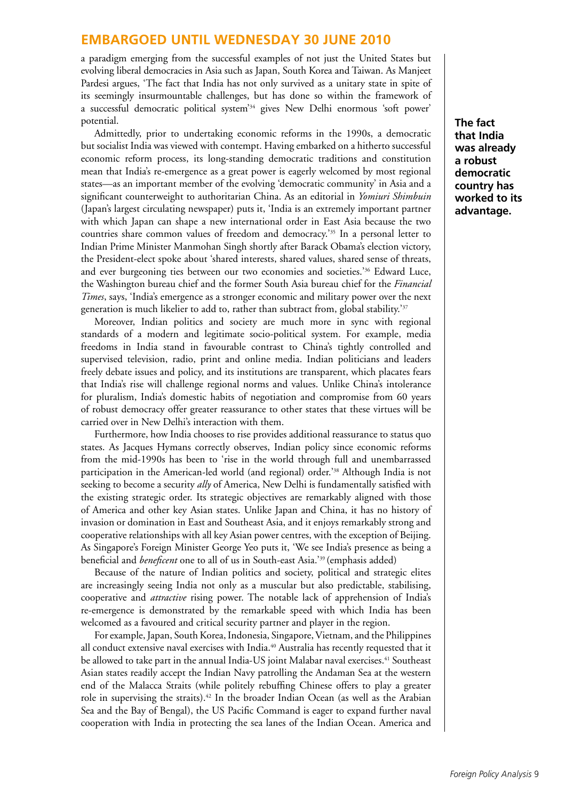a paradigm emerging from the successful examples of not just the United States but evolving liberal democracies in Asia such as Japan, South Korea and Taiwan. As Manjeet Pardesi argues, 'The fact that India has not only survived as a unitary state in spite of its seemingly insurmountable challenges, but has done so within the framework of a successful democratic political system'34 gives New Delhi enormous 'soft power' potential.

Admittedly, prior to undertaking economic reforms in the 1990s, a democratic but socialist India was viewed with contempt. Having embarked on a hitherto successful economic reform process, its long-standing democratic traditions and constitution mean that India's re-emergence as a great power is eagerly welcomed by most regional states—as an important member of the evolving 'democratic community' in Asia and a significant counterweight to authoritarian China. As an editorial in *Yomiuri Shimbuin* (Japan's largest circulating newspaper) puts it, 'India is an extremely important partner with which Japan can shape a new international order in East Asia because the two countries share common values of freedom and democracy.'35 In a personal letter to Indian Prime Minister Manmohan Singh shortly after Barack Obama's election victory, the President-elect spoke about 'shared interests, shared values, shared sense of threats, and ever burgeoning ties between our two economies and societies.'36 Edward Luce, the Washington bureau chief and the former South Asia bureau chief for the *Financial Times*, says, 'India's emergence as a stronger economic and military power over the next generation is much likelier to add to, rather than subtract from, global stability.<sup>37</sup>

Moreover, Indian politics and society are much more in sync with regional standards of a modern and legitimate socio-political system. For example, media freedoms in India stand in favourable contrast to China's tightly controlled and supervised television, radio, print and online media. Indian politicians and leaders freely debate issues and policy, and its institutions are transparent, which placates fears that India's rise will challenge regional norms and values. Unlike China's intolerance for pluralism, India's domestic habits of negotiation and compromise from 60 years of robust democracy offer greater reassurance to other states that these virtues will be carried over in New Delhi's interaction with them.

Furthermore, how India chooses to rise provides additional reassurance to status quo states. As Jacques Hymans correctly observes, Indian policy since economic reforms from the mid-1990s has been to 'rise in the world through full and unembarrassed participation in the American-led world (and regional) order.'38 Although India is not seeking to become a security *ally* of America, New Delhi is fundamentally satisfied with the existing strategic order. Its strategic objectives are remarkably aligned with those of America and other key Asian states. Unlike Japan and China, it has no history of invasion or domination in East and Southeast Asia, and it enjoys remarkably strong and cooperative relationships with all key Asian power centres, with the exception of Beijing. As Singapore's Foreign Minister George Yeo puts it, 'We see India's presence as being a beneficial and *beneficent* one to all of us in South-east Asia.'39 (emphasis added)

Because of the nature of Indian politics and society, political and strategic elites are increasingly seeing India not only as a muscular but also predictable, stabilising, cooperative and *attractive* rising power. The notable lack of apprehension of India's re-emergence is demonstrated by the remarkable speed with which India has been welcomed as a favoured and critical security partner and player in the region.

For example, Japan, South Korea, Indonesia, Singapore, Vietnam, and the Philippines all conduct extensive naval exercises with India.<sup>40</sup> Australia has recently requested that it be allowed to take part in the annual India-US joint Malabar naval exercises.<sup>41</sup> Southeast Asian states readily accept the Indian Navy patrolling the Andaman Sea at the western end of the Malacca Straits (while politely rebuffing Chinese offers to play a greater role in supervising the straits).<sup>42</sup> In the broader Indian Ocean (as well as the Arabian Sea and the Bay of Bengal), the US Pacific Command is eager to expand further naval cooperation with India in protecting the sea lanes of the Indian Ocean. America and

**The fact that India was already a robust democratic country has worked to its advantage.**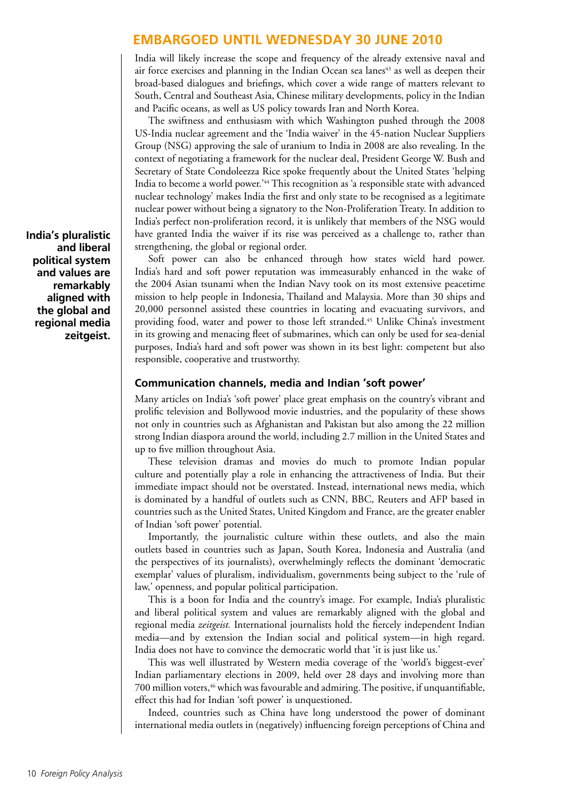India will likely increase the scope and frequency of the already extensive naval and air force exercises and planning in the Indian Ocean sea lanes<sup>43</sup> as well as deepen their broad-based dialogues and briefings, which cover a wide range of matters relevant to South, Central and Southeast Asia, Chinese military developments, policy in the Indian and Pacific oceans, as well as US policy towards Iran and North Korea.

The swiftness and enthusiasm with which Washington pushed through the 2008 US-India nuclear agreement and the 'India waiver' in the 45-nation Nuclear Suppliers Group (NSG) approving the sale of uranium to India in 2008 are also revealing. In the context of negotiating a framework for the nuclear deal, President George W. Bush and Secretary of State Condoleezza Rice spoke frequently about the United States 'helping India to become a world power.'44 This recognition as 'a responsible state with advanced nuclear technology' makes India the first and only state to be recognised as a legitimate nuclear power without being a signatory to the Non-Proliferation Treaty. In addition to India's perfect non-proliferation record, it is unlikely that members of the NSG would have granted India the waiver if its rise was perceived as a challenge to, rather than strengthening, the global or regional order.

Soft power can also be enhanced through how states wield hard power. India's hard and soft power reputation was immeasurably enhanced in the wake of the 2004 Asian tsunami when the Indian Navy took on its most extensive peacetime mission to help people in Indonesia, Thailand and Malaysia. More than 30 ships and 20,000 personnel assisted these countries in locating and evacuating survivors, and providing food, water and power to those left stranded.<sup>45</sup> Unlike China's investment in its growing and menacing fleet of submarines, which can only be used for sea-denial purposes, India's hard and soft power was shown in its best light: competent but also responsible, cooperative and trustworthy.

#### **Communication channels, media and Indian 'soft power'**

Many articles on India's 'soft power' place great emphasis on the country's vibrant and prolific television and Bollywood movie industries, and the popularity of these shows not only in countries such as Afghanistan and Pakistan but also among the 22 million strong Indian diaspora around the world, including 2.7 million in the United States and up to five million throughout Asia.

These television dramas and movies do much to promote Indian popular culture and potentially play a role in enhancing the attractiveness of India. But their immediate impact should not be overstated. Instead, international news media, which is dominated by a handful of outlets such as CNN, BBC, Reuters and AFP based in countries such as the United States, United Kingdom and France, are the greater enabler of Indian 'soft power' potential.

Importantly, the journalistic culture within these outlets, and also the main outlets based in countries such as Japan, South Korea, Indonesia and Australia (and the perspectives of its journalists), overwhelmingly reflects the dominant 'democratic exemplar' values of pluralism, individualism, governments being subject to the 'rule of law,' openness, and popular political participation.

This is a boon for India and the country's image. For example, India's pluralistic and liberal political system and values are remarkably aligned with the global and regional media *zeitgeist.* International journalists hold the fiercely independent Indian media—and by extension the Indian social and political system—in high regard. India does not have to convince the democratic world that 'it is just like us.'

This was well illustrated by Western media coverage of the 'world's biggest-ever' Indian parliamentary elections in 2009, held over 28 days and involving more than 700 million voters,<sup>46</sup> which was favourable and admiring. The positive, if unquantifiable, effect this had for Indian 'soft power' is unquestioned.

Indeed, countries such as China have long understood the power of dominant international media outlets in (negatively) influencing foreign perceptions of China and

**India's pluralistic and liberal political system and values are remarkably aligned with the global and regional media zeitgeist.**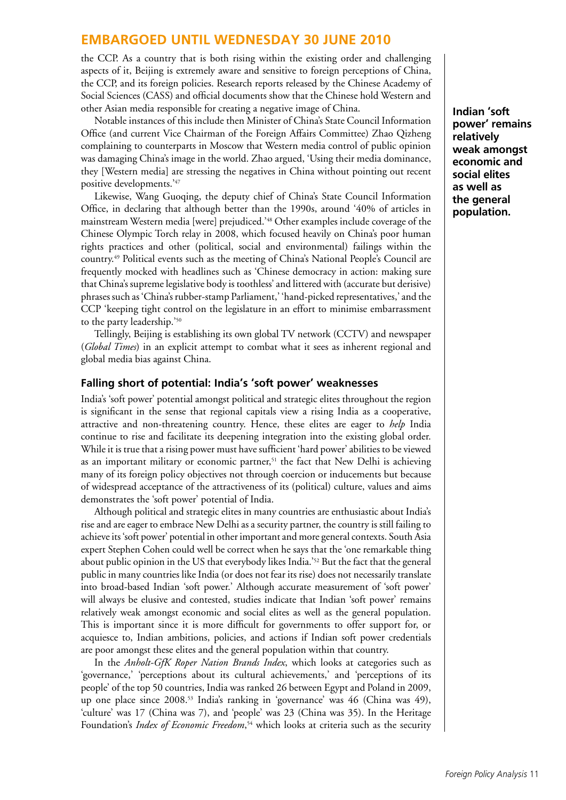the CCP. As a country that is both rising within the existing order and challenging aspects of it, Beijing is extremely aware and sensitive to foreign perceptions of China, the CCP, and its foreign policies. Research reports released by the Chinese Academy of Social Sciences (CASS) and official documents show that the Chinese hold Western and other Asian media responsible for creating a negative image of China.

Notable instances of this include then Minister of China's State Council Information Office (and current Vice Chairman of the Foreign Affairs Committee) Zhao Qizheng complaining to counterparts in Moscow that Western media control of public opinion was damaging China's image in the world. Zhao argued, 'Using their media dominance, they [Western media] are stressing the negatives in China without pointing out recent positive developments.'47

Likewise, Wang Guoqing, the deputy chief of China's State Council Information Office, in declaring that although better than the 1990s, around '40% of articles in mainstream Western media [were] prejudiced.'48 Other examples include coverage of the Chinese Olympic Torch relay in 2008, which focused heavily on China's poor human rights practices and other (political, social and environmental) failings within the country.49 Political events such as the meeting of China's National People's Council are frequently mocked with headlines such as 'Chinese democracy in action: making sure that China's supreme legislative body is toothless' and littered with (accurate but derisive) phrases such as 'China's rubber-stamp Parliament,' 'hand-picked representatives,' and the CCP 'keeping tight control on the legislature in an effort to minimise embarrassment to the party leadership.'50

Tellingly, Beijing is establishing its own global TV network (CCTV) and newspaper (*Global Times*) in an explicit attempt to combat what it sees as inherent regional and global media bias against China.

#### **Falling short of potential: India's 'soft power' weaknesses**

India's 'soft power' potential amongst political and strategic elites throughout the region is significant in the sense that regional capitals view a rising India as a cooperative, attractive and non-threatening country. Hence, these elites are eager to *help* India continue to rise and facilitate its deepening integration into the existing global order. While it is true that a rising power must have sufficient 'hard power' abilities to be viewed as an important military or economic partner,<sup>51</sup> the fact that New Delhi is achieving many of its foreign policy objectives not through coercion or inducements but because of widespread acceptance of the attractiveness of its (political) culture, values and aims demonstrates the 'soft power' potential of India.

Although political and strategic elites in many countries are enthusiastic about India's rise and are eager to embrace New Delhi as a security partner, the country is still failing to achieve its 'soft power' potential in other important and more general contexts. South Asia expert Stephen Cohen could well be correct when he says that the 'one remarkable thing about public opinion in the US that everybody likes India.'52 But the fact that the general public in many countries like India (or does not fear its rise) does not necessarily translate into broad-based Indian 'soft power.' Although accurate measurement of 'soft power' will always be elusive and contested, studies indicate that Indian 'soft power' remains relatively weak amongst economic and social elites as well as the general population. This is important since it is more difficult for governments to offer support for, or acquiesce to, Indian ambitions, policies, and actions if Indian soft power credentials are poor amongst these elites and the general population within that country.

In the *Anholt-GfK Roper Nation Brands Index*, which looks at categories such as 'governance,' 'perceptions about its cultural achievements,' and 'perceptions of its people' of the top 50 countries, India was ranked 26 between Egypt and Poland in 2009, up one place since 2008.53 India's ranking in 'governance' was 46 (China was 49), 'culture' was 17 (China was 7), and 'people' was 23 (China was 35). In the Heritage Foundation's *Index of Economic Freedom*, 54 which looks at criteria such as the security **Indian 'soft power' remains relatively weak amongst economic and social elites as well as the general population.**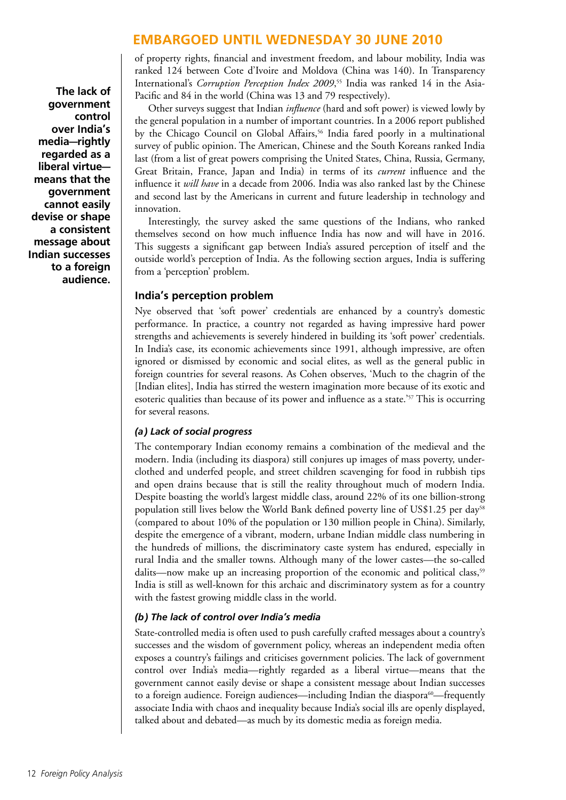of property rights, financial and investment freedom, and labour mobility, India was ranked 124 between Cote d'Ivoire and Moldova (China was 140). In Transparency International's *Corruption Perception Index 2009*, 55 India was ranked 14 in the Asia-Pacific and 84 in the world (China was 13 and 79 respectively).

Other surveys suggest that Indian *influence* (hard and soft power) is viewed lowly by the general population in a number of important countries. In a 2006 report published by the Chicago Council on Global Affairs,<sup>56</sup> India fared poorly in a multinational survey of public opinion. The American, Chinese and the South Koreans ranked India last (from a list of great powers comprising the United States, China, Russia, Germany, Great Britain, France, Japan and India) in terms of its *current* influence and the influence it *will have* in a decade from 2006. India was also ranked last by the Chinese and second last by the Americans in current and future leadership in technology and innovation.

Interestingly, the survey asked the same questions of the Indians, who ranked themselves second on how much influence India has now and will have in 2016. This suggests a significant gap between India's assured perception of itself and the outside world's perception of India. As the following section argues, India is suffering from a 'perception' problem.

#### **India's perception problem**

Nye observed that 'soft power' credentials are enhanced by a country's domestic performance. In practice, a country not regarded as having impressive hard power strengths and achievements is severely hindered in building its 'soft power' credentials. In India's case, its economic achievements since 1991, although impressive, are often ignored or dismissed by economic and social elites, as well as the general public in foreign countries for several reasons. As Cohen observes, 'Much to the chagrin of the [Indian elites], India has stirred the western imagination more because of its exotic and esoteric qualities than because of its power and influence as a state.'<sup>57</sup> This is occurring for several reasons.

#### *(a) Lack of social progress*

The contemporary Indian economy remains a combination of the medieval and the modern. India (including its diaspora) still conjures up images of mass poverty, underclothed and underfed people, and street children scavenging for food in rubbish tips and open drains because that is still the reality throughout much of modern India. Despite boasting the world's largest middle class, around 22% of its one billion-strong population still lives below the World Bank defined poverty line of US\$1.25 per day<sup>58</sup> (compared to about 10% of the population or 130 million people in China). Similarly, despite the emergence of a vibrant, modern, urbane Indian middle class numbering in the hundreds of millions, the discriminatory caste system has endured, especially in rural India and the smaller towns. Although many of the lower castes—the so-called dalits—now make up an increasing proportion of the economic and political class,<sup>59</sup> India is still as well-known for this archaic and discriminatory system as for a country with the fastest growing middle class in the world.

#### *(b) The lack of control over India's media*

State-controlled media is often used to push carefully crafted messages about a country's successes and the wisdom of government policy, whereas an independent media often exposes a country's failings and criticises government policies. The lack of government control over India's media—rightly regarded as a liberal virtue—means that the government cannot easily devise or shape a consistent message about Indian successes to a foreign audience. Foreign audiences—including Indian the diaspora<sup>60</sup>—frequently associate India with chaos and inequality because India's social ills are openly displayed, talked about and debated—as much by its domestic media as foreign media.

**The lack of government control over India's media—rightly regarded as a liberal virtue means that the government cannot easily devise or shape a consistent message about Indian successes to a foreign audience.**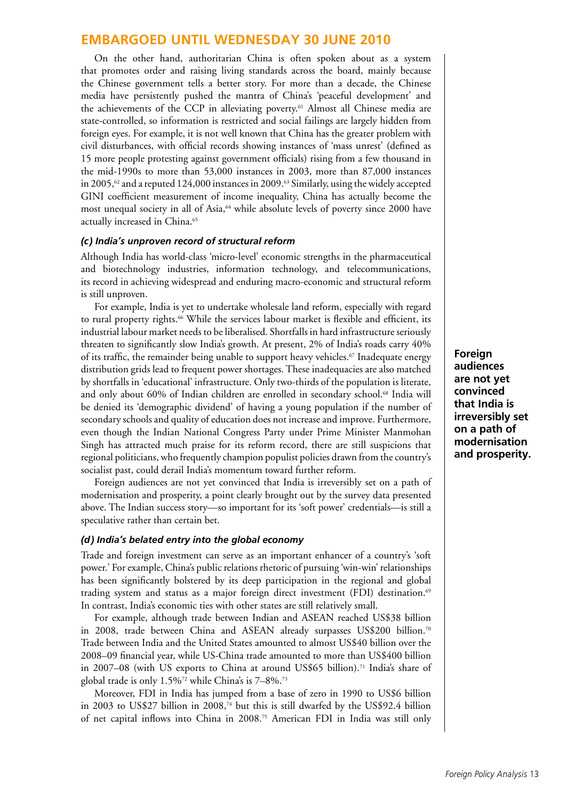On the other hand, authoritarian China is often spoken about as a system that promotes order and raising living standards across the board, mainly because the Chinese government tells a better story. For more than a decade, the Chinese media have persistently pushed the mantra of China's 'peaceful development' and the achievements of the CCP in alleviating poverty.<sup>61</sup> Almost all Chinese media are state-controlled, so information is restricted and social failings are largely hidden from foreign eyes. For example, it is not well known that China has the greater problem with civil disturbances, with official records showing instances of 'mass unrest' (defined as 15 more people protesting against government officials) rising from a few thousand in the mid-1990s to more than 53,000 instances in 2003, more than 87,000 instances in 2005, $\frac{62}{3}$  and a reputed 124,000 instances in 2009.<sup>63</sup> Similarly, using the widely accepted GINI coefficient measurement of income inequality, China has actually become the most unequal society in all of Asia,<sup>64</sup> while absolute levels of poverty since 2000 have actually increased in China.<sup>65</sup>

#### *(c) India's unproven record of structural reform*

Although India has world-class 'micro-level' economic strengths in the pharmaceutical and biotechnology industries, information technology, and telecommunications, its record in achieving widespread and enduring macro-economic and structural reform is still unproven.

For example, India is yet to undertake wholesale land reform, especially with regard to rural property rights.<sup>66</sup> While the services labour market is flexible and efficient, its industrial labour market needs to be liberalised. Shortfalls in hard infrastructure seriously threaten to significantly slow India's growth. At present, 2% of India's roads carry 40% of its traffic, the remainder being unable to support heavy vehicles.<sup>67</sup> Inadequate energy distribution grids lead to frequent power shortages. These inadequacies are also matched by shortfalls in 'educational' infrastructure. Only two-thirds of the population is literate, and only about 60% of Indian children are enrolled in secondary school.68 India will be denied its 'demographic dividend' of having a young population if the number of secondary schools and quality of education does not increase and improve. Furthermore, even though the Indian National Congress Party under Prime Minister Manmohan Singh has attracted much praise for its reform record, there are still suspicions that regional politicians, who frequently champion populist policies drawn from the country's socialist past, could derail India's momentum toward further reform.

Foreign audiences are not yet convinced that India is irreversibly set on a path of modernisation and prosperity, a point clearly brought out by the survey data presented above. The Indian success story—so important for its 'soft power' credentials—is still a speculative rather than certain bet.

#### *(d) India's belated entry into the global economy*

Trade and foreign investment can serve as an important enhancer of a country's 'soft power.' For example, China's public relations rhetoric of pursuing 'win-win' relationships has been significantly bolstered by its deep participation in the regional and global trading system and status as a major foreign direct investment (FDI) destination.<sup>69</sup> In contrast, India's economic ties with other states are still relatively small.

For example, although trade between Indian and ASEAN reached US\$38 billion in 2008, trade between China and ASEAN already surpasses US\$200 billion.<sup>70</sup> Trade between India and the United States amounted to almost US\$40 billion over the 2008–09 financial year, while US-China trade amounted to more than US\$400 billion in 2007–08 (with US exports to China at around US\$65 billion).<sup>71</sup> India's share of global trade is only 1.5%72 while China's is 7–8%.73

Moreover, FDI in India has jumped from a base of zero in 1990 to US\$6 billion in 2003 to US\$27 billion in 2008,74 but this is still dwarfed by the US\$92.4 billion of net capital inflows into China in 2008.75 American FDI in India was still only

**Foreign audiences are not yet convinced that India is irreversibly set on a path of modernisation and prosperity.**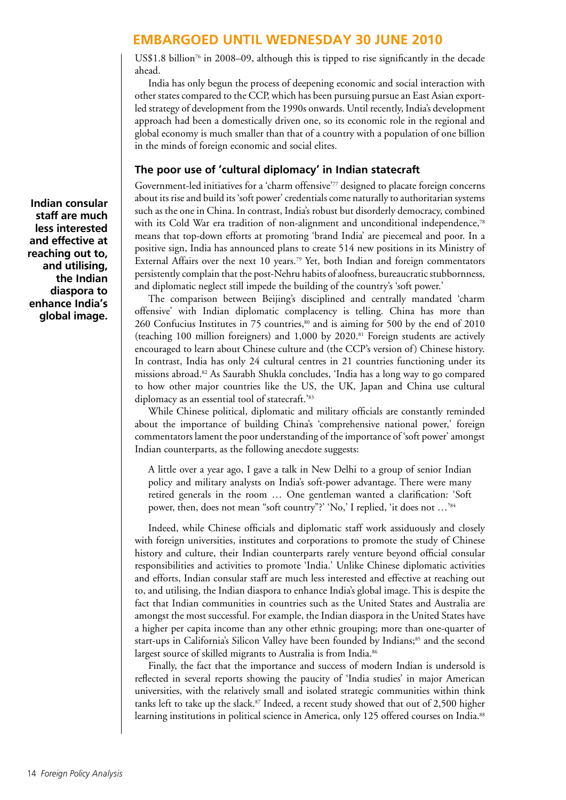US\$1.8 billion<sup>76</sup> in 2008–09, although this is tipped to rise significantly in the decade ahead.

India has only begun the process of deepening economic and social interaction with other states compared to the CCP, which has been pursuing pursue an East Asian exportled strategy of development from the 1990s onwards. Until recently, India's development approach had been a domestically driven one, so its economic role in the regional and global economy is much smaller than that of a country with a population of one billion in the minds of foreign economic and social elites.

#### **The poor use of 'cultural diplomacy' in Indian statecraft**

Government-led initiatives for a 'charm offensive'77 designed to placate foreign concerns about its rise and build its 'soft power' credentials come naturally to authoritarian systems such as the one in China. In contrast, India's robust but disorderly democracy, combined with its Cold War era tradition of non-alignment and unconditional independence,78 means that top-down efforts at promoting 'brand India' are piecemeal and poor. In a positive sign, India has announced plans to create 514 new positions in its Ministry of External Affairs over the next 10 years.<sup>79</sup> Yet, both Indian and foreign commentators persistently complain that the post-Nehru habits of aloofness, bureaucratic stubbornness, and diplomatic neglect still impede the building of the country's 'soft power.'

The comparison between Beijing's disciplined and centrally mandated 'charm offensive' with Indian diplomatic complacency is telling. China has more than 260 Confucius Institutes in 75 countries,<sup>80</sup> and is aiming for 500 by the end of 2010 (teaching 100 million foreigners) and 1,000 by 2020.81 Foreign students are actively encouraged to learn about Chinese culture and (the CCP's version of) Chinese history. In contrast, India has only 24 cultural centres in 21 countries functioning under its missions abroad.82 As Saurabh Shukla concludes, 'India has a long way to go compared to how other major countries like the US, the UK, Japan and China use cultural diplomacy as an essential tool of statecraft.'83

While Chinese political, diplomatic and military officials are constantly reminded about the importance of building China's 'comprehensive national power,' foreign commentators lament the poor understanding of the importance of 'soft power' amongst Indian counterparts, as the following anecdote suggests:

A little over a year ago, I gave a talk in New Delhi to a group of senior Indian policy and military analysts on India's soft-power advantage. There were many retired generals in the room … One gentleman wanted a clarification: 'Soft power, then, does not mean "soft country"?' 'No,' I replied, 'it does not …'84

Indeed, while Chinese officials and diplomatic staff work assiduously and closely with foreign universities, institutes and corporations to promote the study of Chinese history and culture, their Indian counterparts rarely venture beyond official consular responsibilities and activities to promote 'India.' Unlike Chinese diplomatic activities and efforts, Indian consular staff are much less interested and effective at reaching out to, and utilising, the Indian diaspora to enhance India's global image. This is despite the fact that Indian communities in countries such as the United States and Australia are amongst the most successful. For example, the Indian diaspora in the United States have a higher per capita income than any other ethnic grouping; more than one-quarter of start-ups in California's Silicon Valley have been founded by Indians;<sup>85</sup> and the second largest source of skilled migrants to Australia is from India.<sup>86</sup>

Finally, the fact that the importance and success of modern Indian is undersold is reflected in several reports showing the paucity of 'India studies' in major American universities, with the relatively small and isolated strategic communities within think tanks left to take up the slack.<sup>87</sup> Indeed, a recent study showed that out of 2,500 higher learning institutions in political science in America, only 125 offered courses on India.<sup>88</sup>

**Indian consular staff are much less interested and effective at reaching out to, and utilising, the Indian diaspora to enhance India's global image.**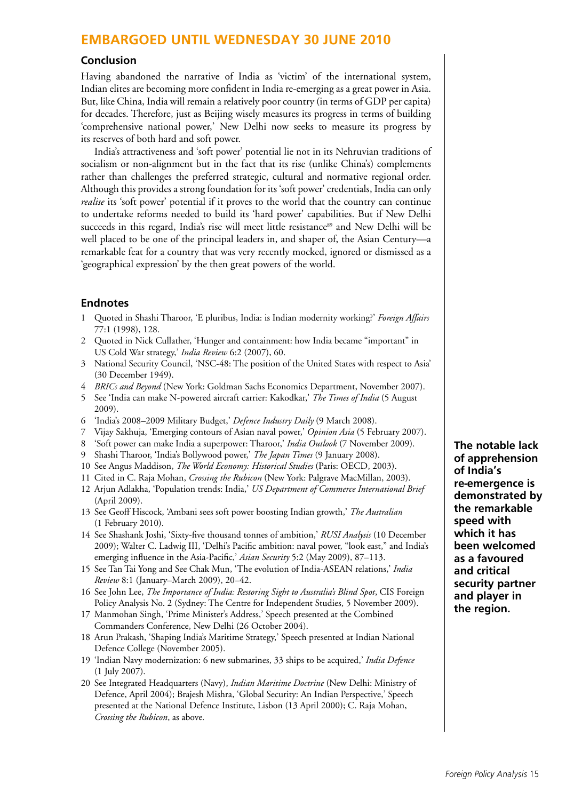#### **Conclusion**

Having abandoned the narrative of India as 'victim' of the international system, Indian elites are becoming more confident in India re-emerging as a great power in Asia. But, like China, India will remain a relatively poor country (in terms of GDP per capita) for decades. Therefore, just as Beijing wisely measures its progress in terms of building 'comprehensive national power,' New Delhi now seeks to measure its progress by its reserves of both hard and soft power.

India's attractiveness and 'soft power' potential lie not in its Nehruvian traditions of socialism or non-alignment but in the fact that its rise (unlike China's) complements rather than challenges the preferred strategic, cultural and normative regional order. Although this provides a strong foundation for its 'soft power' credentials, India can only *realise* its 'soft power' potential if it proves to the world that the country can continue to undertake reforms needed to build its 'hard power' capabilities. But if New Delhi succeeds in this regard, India's rise will meet little resistance<sup>89</sup> and New Delhi will be well placed to be one of the principal leaders in, and shaper of, the Asian Century—a remarkable feat for a country that was very recently mocked, ignored or dismissed as a 'geographical expression' by the then great powers of the world.

#### **Endnotes**

- 1 Quoted in Shashi Tharoor, 'E pluribus, India: is Indian modernity working?' *Foreign Affairs* 77:1 (1998), 128.
- 2 Quoted in Nick Cullather, 'Hunger and containment: how India became "important" in US Cold War strategy,' *India Review* 6:2 (2007), 60.
- 3 National Security Council, 'NSC-48: The position of the United States with respect to Asia' (30 December 1949).
- 4 *BRICs and Beyond* (New York: Goldman Sachs Economics Department, November 2007).
- 5 See 'India can make N-powered aircraft carrier: Kakodkar,' *The Times of India* (5 August 2009).
- 6 'India's 2008–2009 Military Budget,' *Defence Industry Daily* (9 March 2008).
- 7 Vijay Sakhuja, 'Emerging contours of Asian naval power,' *Opinion Asia* (5 February 2007).
- 8 'Soft power can make India a superpower: Tharoor,' *India Outlook* (7 November 2009).
- 9 Shashi Tharoor, 'India's Bollywood power,' *The Japan Times* (9 January 2008).
- 10 See Angus Maddison, *The World Economy: Historical Studies* (Paris: OECD, 2003).
- 11 Cited in C. Raja Mohan, *Crossing the Rubicon* (New York: Palgrave MacMillan, 2003).
- 12 Arjun Adlakha, 'Population trends: India,' *US Department of Commerce International Brief*  (April 2009).
- 13 See Geoff Hiscock, 'Ambani sees soft power boosting Indian growth,' *The Australian* (1 February 2010).
- 14 See Shashank Joshi, 'Sixty-five thousand tonnes of ambition,' *RUSI Analysis* (10 December 2009); Walter C. Ladwig III, 'Delhi's Pacific ambition: naval power, "look east," and India's emerging influence in the Asia-Pacific,' *Asian Security* 5:2 (May 2009), 87–113.
- 15 See Tan Tai Yong and See Chak Mun, 'The evolution of India-ASEAN relations,' *India Review* 8:1 (January–March 2009), 20–42.
- 16 See John Lee, *The Importance of India: Restoring Sight to Australia's Blind Spot*, CIS Foreign Policy Analysis No. 2 (Sydney: The Centre for Independent Studies, 5 November 2009).
- 17 Manmohan Singh, 'Prime Minister's Address,' Speech presented at the Combined Commanders Conference, New Delhi (26 October 2004).
- 18 Arun Prakash, 'Shaping India's Maritime Strategy,' Speech presented at Indian National Defence College (November 2005).
- 19 'Indian Navy modernization: 6 new submarines, 33 ships to be acquired,' *India Defence* (1 July 2007).
- 20 See Integrated Headquarters (Navy), *Indian Maritime Doctrine* (New Delhi: Ministry of Defence, April 2004); Brajesh Mishra, 'Global Security: An Indian Perspective,' Speech presented at the National Defence Institute, Lisbon (13 April 2000); C. Raja Mohan, *Crossing the Rubicon*, as above*.*

**The notable lack of apprehension of India's re-emergence is demonstrated by the remarkable speed with which it has been welcomed as a favoured and critical security partner and player in the region.**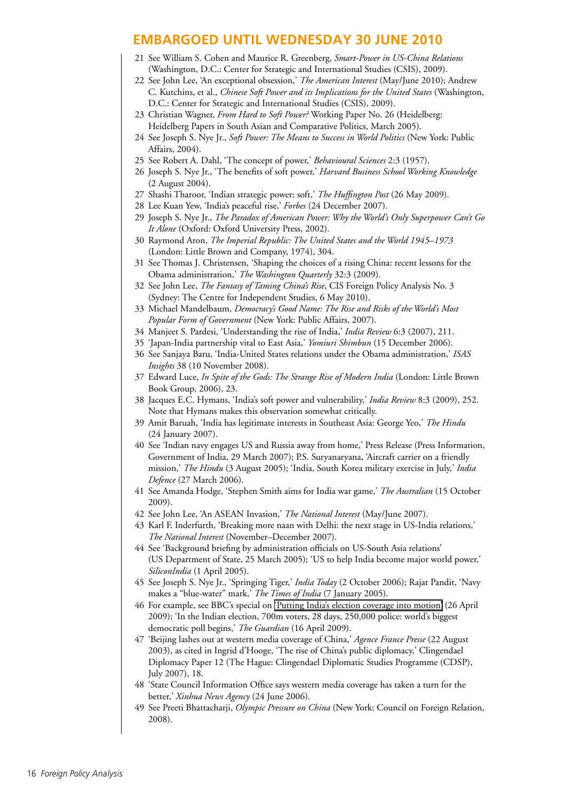- 21 See William S. Cohen and Maurice R. Greenberg, *Smart-Power in US-China Relations* (Washington, D.C.: Center for Strategic and International Studies (CSIS), 2009).
- 22 See John Lee, 'An exceptional obsession,' *The American Interest* (May/June 2010); Andrew C. Kutchins, et al., *Chinese Soft Power and its Implications for the United States* (Washington, D.C.: Center for Strategic and International Studies (CSIS), 2009).
- 23 Christian Wagner, *From Hard to Soft Power?* Working Paper No. 26 (Heidelberg: Heidelberg Papers in South Asian and Comparative Politics, March 2005).
- 24 See Joseph S. Nye Jr., *Soft Power: The Means to Success in World Politics* (New York: Public Affairs, 2004).
- 25 See Robert A. Dahl, 'The concept of power,' *Behavioural Sciences* 2:3 (1957).
- 26 Joseph S. Nye Jr., 'The benefits of soft power,' *Harvard Business School Working Knowledge* (2 August 2004).
- 27 Shashi Tharoor, 'Indian strategic power: soft,' *The Huffington Post* (26 May 2009).
- 28 Lee Kuan Yew, 'India's peaceful rise,' *Forbes* (24 December 2007).
- 29 Joseph S. Nye Jr., *The Paradox of American Power: Why the World's Only Superpower Can't Go It Alone* (Oxford: Oxford University Press, 2002).
- 30 Raymond Aron, *The Imperial Republic: The United States and the World 1945–1973* (London: Little Brown and Company, 1974), 304.
- 31 See Thomas J. Christensen, 'Shaping the choices of a rising China: recent lessons for the Obama administration,' *The Washington Quarterly* 32:3 (2009).
- 32 See John Lee, *The Fantasy of Taming China's Rise*, CIS Foreign Policy Analysis No. 3 (Sydney: The Centre for Independent Studies, 6 May 2010).
- 33 Michael Mandelbaum, *Democracy's Good Name: The Rise and Risks of the World's Most Popular Form of Government* (New York: Public Affairs, 2007).
- 34 Manjeet S. Pardesi, 'Understanding the rise of India,' *India Review* 6:3 (2007), 211.
- 35 'Japan-India partnership vital to East Asia,' *Yomiuri Shimbun* (15 December 2006).
- 36 See Sanjaya Baru, 'India-United States relations under the Obama administration,' *ISAS Insights* 38 (10 November 2008).
- 37 Edward Luce, *In Spite of the Gods: The Strange Rise of Modern India* (London: Little Brown Book Group, 2006), 23.
- 38 Jacques E.C. Hymans, 'India's soft power and vulnerability,' *India Review* 8:3 (2009), 252. Note that Hymans makes this observation somewhat critically.
- 39 Amit Baruah, 'India has legitimate interests in Southeast Asia: George Yeo,' *The Hindu* (24 January 2007).
- 40 See 'Indian navy engages US and Russia away from home,' Press Release (Press Information, Government of India, 29 March 2007); P.S. Suryanaryana, 'Aircraft carrier on a friendly mission,' *The Hindu* (3 August 2005); 'India, South Korea military exercise in July,' *India Defence* (27 March 2006).
- 41 See Amanda Hodge, 'Stephen Smith aims for India war game,' *The Australian* (15 October 2009).
- 42 See John Lee, 'An ASEAN Invasion,' *The National Interest* (May/June 2007).
- 43 Karl F. Inderfurth, 'Breaking more naan with Delhi: the next stage in US-India relations,' *The National Interest* (November–December 2007).
- 44 See 'Background briefing by administration officials on US-South Asia relations' (US Department of State, 25 March 2005); 'US to help India become major world power,' *SiliconIndia* (1 April 2005).
- 45 See Joseph S. Nye Jr., 'Springing Tiger,' *India Today* (2 October 2006); Rajat Pandit, 'Navy makes a "blue-water" mark,' *The Times of India* (7 January 2005).
- 46 For example, see BBC's special on ['Putting India's election coverage into motion'](http://www.bbc.co.uk/blogs/theeditors/2009/04/putting_indias_election_covera.html) (26 April 2009); 'In the Indian election, 700m voters, 28 days, 250,000 police: world's biggest democratic poll begins,' *The Guardian* (16 April 2009).
- 47 'Beijing lashes out at western media coverage of China,' *Agence France Presse* (22 August 2003), as cited in Ingrid d'Hooge, 'The rise of China's public diplomacy,' Clingendael Diplomacy Paper 12 (The Hague: Clingendael Diplomatic Studies Programme (CDSP), July 2007), 18.
- 48 'State Council Information Office says western media coverage has taken a turn for the better,' *Xinhua News Agency* (24 June 2006).
- 49 See Preeti Bhattacharji, *Olympic Pressure on China* (New York: Council on Foreign Relation, 2008).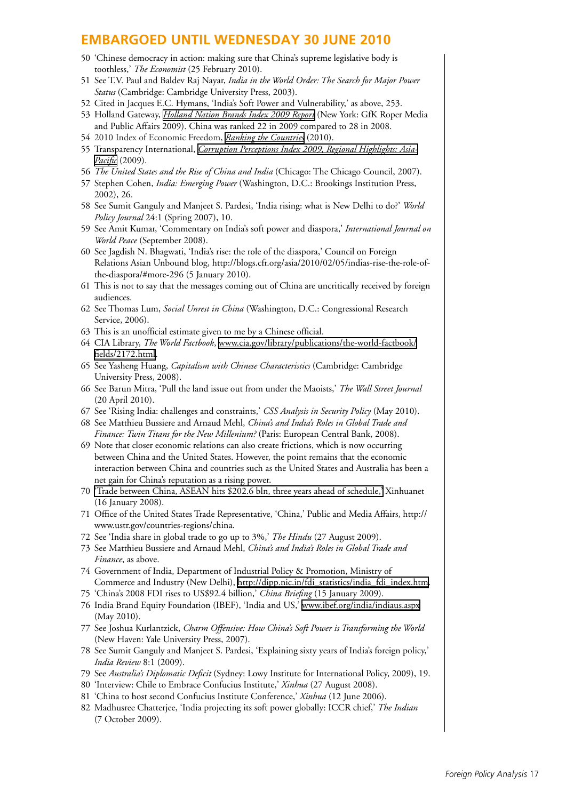- 50 'Chinese democracy in action: making sure that China's supreme legislative body is toothless,' *The Economist* (25 February 2010).
- 51 See T.V. Paul and Baldev Raj Nayar, *India in the World Order: The Search for Major Power Status* (Cambridge: Cambridge University Press, 2003).
- 52 Cited in Jacques E.C. Hymans, 'India's Soft Power and Vulnerability,' as above, 253.
- 53 Holland Gateway, *[Holland Nation Brands Index 2009 Report](http://www.hollandgateway.nl/downloads/0000/0006/Holland_2009_Nation_Brands_Index_Report.pdf)* (New York: GfK Roper Media and Public Affairs 2009). China was ranked 22 in 2009 compared to 28 in 2008.
- 54 2010 Index of Economic Freedom, *[Ranking the Countries](http://www.heritage.org/index/Ranking.aspx)* (2010).
- 55 Transparency International, *[Corruption Perceptions Index 2009, Regional Highlights: Asia-](http://www.transparency.org/content/download/51016/816540/file/2009 CPI.pdf)[Pacific](http://www.transparency.org/content/download/51016/816540/file/2009 CPI.pdf)* (2009).
- 56 *The United States and the Rise of China and India* (Chicago: The Chicago Council, 2007).
- 57 Stephen Cohen, *India: Emerging Power* (Washington, D.C.: Brookings Institution Press, 2002), 26.
- 58 See Sumit Ganguly and Manjeet S. Pardesi, 'India rising: what is New Delhi to do?' *World Policy Journal* 24:1 (Spring 2007), 10.
- 59 See Amit Kumar, 'Commentary on India's soft power and diaspora,' *International Journal on World Peace* (September 2008).
- 60 See Jagdish N. Bhagwati, 'India's rise: the role of the diaspora,' Council on Foreign Relations Asian Unbound blog, http://blogs.cfr.org/asia/2010/02/05/indias-rise-the-role-ofthe-diaspora/#more-296 (5 January 2010).
- 61 This is not to say that the messages coming out of China are uncritically received by foreign audiences.
- 62 See Thomas Lum, *Social Unrest in China* (Washington, D.C.: Congressional Research Service, 2006).
- 63 This is an unofficial estimate given to me by a Chinese official.
- 64 CIA Library, *The World Factbook*, [www.cia.gov/library/publications/the-world-factbook/](http://www.cia.gov/library/publications/the-world-factbook/fields/2172.html) [fields/2172.html.](http://www.cia.gov/library/publications/the-world-factbook/fields/2172.html)
- 65 See Yasheng Huang, *Capitalism with Chinese Characteristics* (Cambridge: Cambridge University Press, 2008).
- 66 See Barun Mitra, 'Pull the land issue out from under the Maoists,' *The Wall Street Journal* (20 April 2010).
- 67 See 'Rising India: challenges and constraints,' *CSS Analysis in Security Policy* (May 2010).
- 68 See Matthieu Bussiere and Arnaud Mehl, *China's and India's Roles in Global Trade and Finance: Twin Titans for the New Millenium?* (Paris: European Central Bank, 2008).
- 69 Note that closer economic relations can also create frictions, which is now occurring between China and the United States. However, the point remains that the economic interaction between China and countries such as the United States and Australia has been a net gain for China's reputation as a rising power.
- 70 ['Trade between China, ASEAN hits \\$202.6 bln, three years ahead of schedule,'](http://news.xinhuanet.com/english/2008-01/16/content_7433400.htm) Xinhuanet (16 January 2008).
- 71 Office of the United States Trade Representative, 'China,' Public and Media Affairs, http:// www.ustr.gov/countries-regions/china.
- 72 See 'India share in global trade to go up to 3%,' *The Hindu* (27 August 2009).
- 73 See Matthieu Bussiere and Arnaud Mehl, *China's and India's Roles in Global Trade and Finance*, as above.
- 74 Government of India, Department of Industrial Policy & Promotion, Ministry of Commerce and Industry (New Delhi), [http://dipp.nic.in/fdi\\_statistics/india\\_fdi\\_index.htm.](http://dipp.nic.in/fdi_statistics/india_fdi_index.htm)
- 75 'China's 2008 FDI rises to US\$92.4 billion,' *China Briefing* (15 January 2009).
- 76 India Brand Equity Foundation (IBEF), 'India and US,' [www.ibef.org/india/indiaus.aspx](http://www.ibef.org/india/indiaus.aspx) (May 2010).
- 77 See Joshua Kurlantzick, *Charm Offensive: How China's Soft Power is Transforming the World* (New Haven: Yale University Press, 2007).
- 78 See Sumit Ganguly and Manjeet S. Pardesi, 'Explaining sixty years of India's foreign policy,' *India Review* 8:1 (2009).
- 79 See *Australia's Diplomatic Deficit* (Sydney: Lowy Institute for International Policy, 2009), 19.
- 80 'Interview: Chile to Embrace Confucius Institute,' *Xinhua* (27 August 2008).
- 81 'China to host second Confucius Institute Conference,' *Xinhua* (12 June 2006).
- 82 Madhusree Chatterjee, 'India projecting its soft power globally: ICCR chief,' *The Indian* (7 October 2009).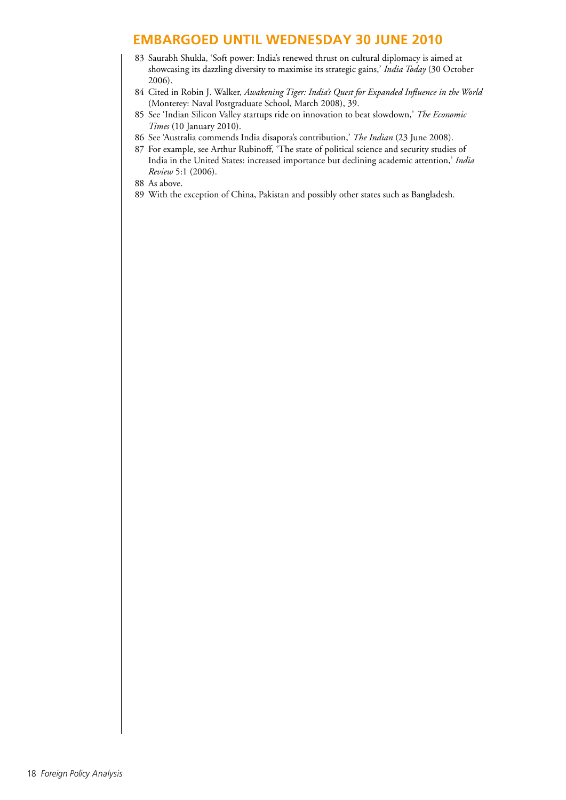- 83 Saurabh Shukla, 'Soft power: India's renewed thrust on cultural diplomacy is aimed at showcasing its dazzling diversity to maximise its strategic gains,' *India Today* (30 October 2006).
- 84 Cited in Robin J. Walker, *Awakening Tiger: India's Quest for Expanded Influence in the World*  (Monterey: Naval Postgraduate School, March 2008), 39.
- 85 See 'Indian Silicon Valley startups ride on innovation to beat slowdown,' *The Economic Times* (10 January 2010).
- 86 See 'Australia commends India disapora's contribution,' *The Indian* (23 June 2008).
- 87 For example, see Arthur Rubinoff, 'The state of political science and security studies of India in the United States: increased importance but declining academic attention,' *India Review* 5:1 (2006).
- 88 As above.
- 89 With the exception of China, Pakistan and possibly other states such as Bangladesh.